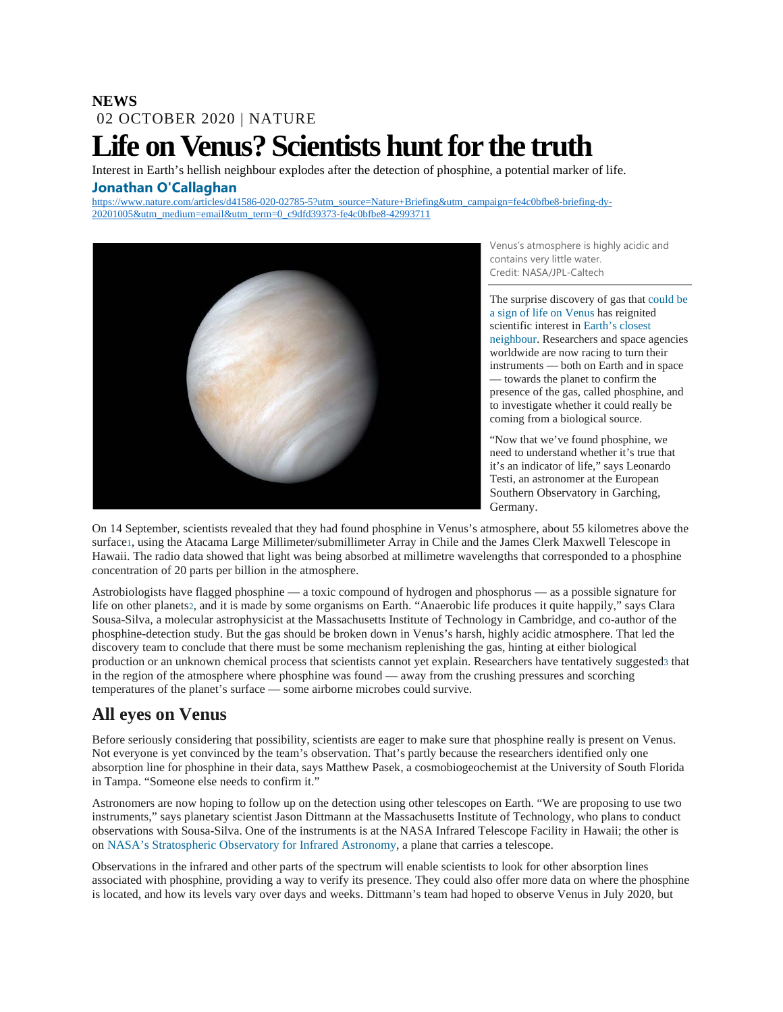#### **NEWS** 02 OCTOBER 2020 | NATURE

# **Life on Venus? Scientists hunt for the truth**

Interest in Earth's hellish neighbour explodes after the detection of phosphine, a potential marker of life. **[Jonathan O'Callaghan](javascript:;)**

[https://www.nature.com/articles/d41586-020-02785-5?utm\\_source=Nature+Briefing&utm\\_campaign=fe4c0bfbe8-briefing-dy-](https://www.nature.com/articles/d41586-020-02785-5?utm_source=Nature+Briefing&utm_campaign=fe4c0bfbe8-briefing-dy-20201005&utm_medium=email&utm_term=0_c9dfd39373-fe4c0bfbe8-42993711)[20201005&utm\\_medium=email&utm\\_term=0\\_c9dfd39373-fe4c0bfbe8-42993711](https://www.nature.com/articles/d41586-020-02785-5?utm_source=Nature+Briefing&utm_campaign=fe4c0bfbe8-briefing-dy-20201005&utm_medium=email&utm_term=0_c9dfd39373-fe4c0bfbe8-42993711)



Venus's atmosphere is highly acidic and contains very little water. Credit: NASA/JPL-Caltech

The surprise discovery of gas that [could be](https://www.scientificamerican.com/article/venus-might-host-life-new-discovery-suggests/)  [a sign of life on Venus](https://www.scientificamerican.com/article/venus-might-host-life-new-discovery-suggests/) has reignited scientific interest in [Earth's closest](https://www.nature.com/articles/d41586-019-01730-5)  [neighbour.](https://www.nature.com/articles/d41586-019-01730-5) Researchers and space agencies worldwide are now racing to turn their instruments — both on Earth and in space — towards the planet to confirm the presence of the gas, called phosphine, and to investigate whether it could really be coming from a biological source.

"Now that we've found phosphine, we need to understand whether it's true that it's an indicator of life," says Leonardo Testi, an astronomer at the European Southern Observatory in Garching, Germany.

On 14 September, scientists revealed that they had found phosphine in Venus's atmosphere, about 55 kilometres above the surfac[e1,](https://www.nature.com/articles/d41586-020-02785-5?utm_source=Nature+Briefing&utm_campaign=fe4c0bfbe8-briefing-dy-20201005&utm_medium=email&utm_term=0_c9dfd39373-fe4c0bfbe8-42993711#ref-CR1) using the Atacama Large Millimeter/submillimeter Array in Chile and the James Clerk Maxwell Telescope in Hawaii. The radio data showed that light was being absorbed at millimetre wavelengths that corresponded to a phosphine concentration of 20 parts per billion in the atmosphere.

Astrobiologists have flagged phosphine — a toxic compound of hydrogen and phosphorus — as a possible signature for life on other planet[s2,](https://www.nature.com/articles/d41586-020-02785-5?utm_source=Nature+Briefing&utm_campaign=fe4c0bfbe8-briefing-dy-20201005&utm_medium=email&utm_term=0_c9dfd39373-fe4c0bfbe8-42993711#ref-CR2) and it is made by some organisms on Earth. "Anaerobic life produces it quite happily," says Clara Sousa-Silva, a molecular astrophysicist at the Massachusetts Institute of Technology in Cambridge, and co-author of the phosphine-detection study. But the gas should be broken down in Venus's harsh, highly acidic atmosphere. That led the discovery team to conclude that there must be some mechanism replenishing the gas, hinting at either biological production or an unknown chemical process that scientists cannot yet explain. Researchers have tentatively suggeste[d3](https://www.nature.com/articles/d41586-020-02785-5?utm_source=Nature+Briefing&utm_campaign=fe4c0bfbe8-briefing-dy-20201005&utm_medium=email&utm_term=0_c9dfd39373-fe4c0bfbe8-42993711#ref-CR3) that in the region of the atmosphere where phosphine was found — away from the crushing pressures and scorching temperatures of the planet's surface — some airborne microbes could survive.

## **All eyes on Venus**

Before seriously considering that possibility, scientists are eager to make sure that phosphine really is present on Venus. Not everyone is yet convinced by the team's observation. That's partly because the researchers identified only one absorption line for phosphine in their data, says Matthew Pasek, a cosmobiogeochemist at the University of South Florida in Tampa. "Someone else needs to confirm it."

Astronomers are now hoping to follow up on the detection using other telescopes on Earth. "We are proposing to use two instruments," says planetary scientist Jason Dittmann at the Massachusetts Institute of Technology, who plans to conduct observations with Sousa-Silva. One of the instruments is at the NASA Infrared Telescope Facility in Hawaii; the other is on [NASA's Stratospheric Observatory for Infrared Astronomy,](https://www.nature.com/articles/d41586-020-00685-2) a plane that carries a telescope.

Observations in the infrared and other parts of the spectrum will enable scientists to look for other absorption lines associated with phosphine, providing a way to verify its presence. They could also offer more data on where the phosphine is located, and how its levels vary over days and weeks. Dittmann's team had hoped to observe Venus in July 2020, but